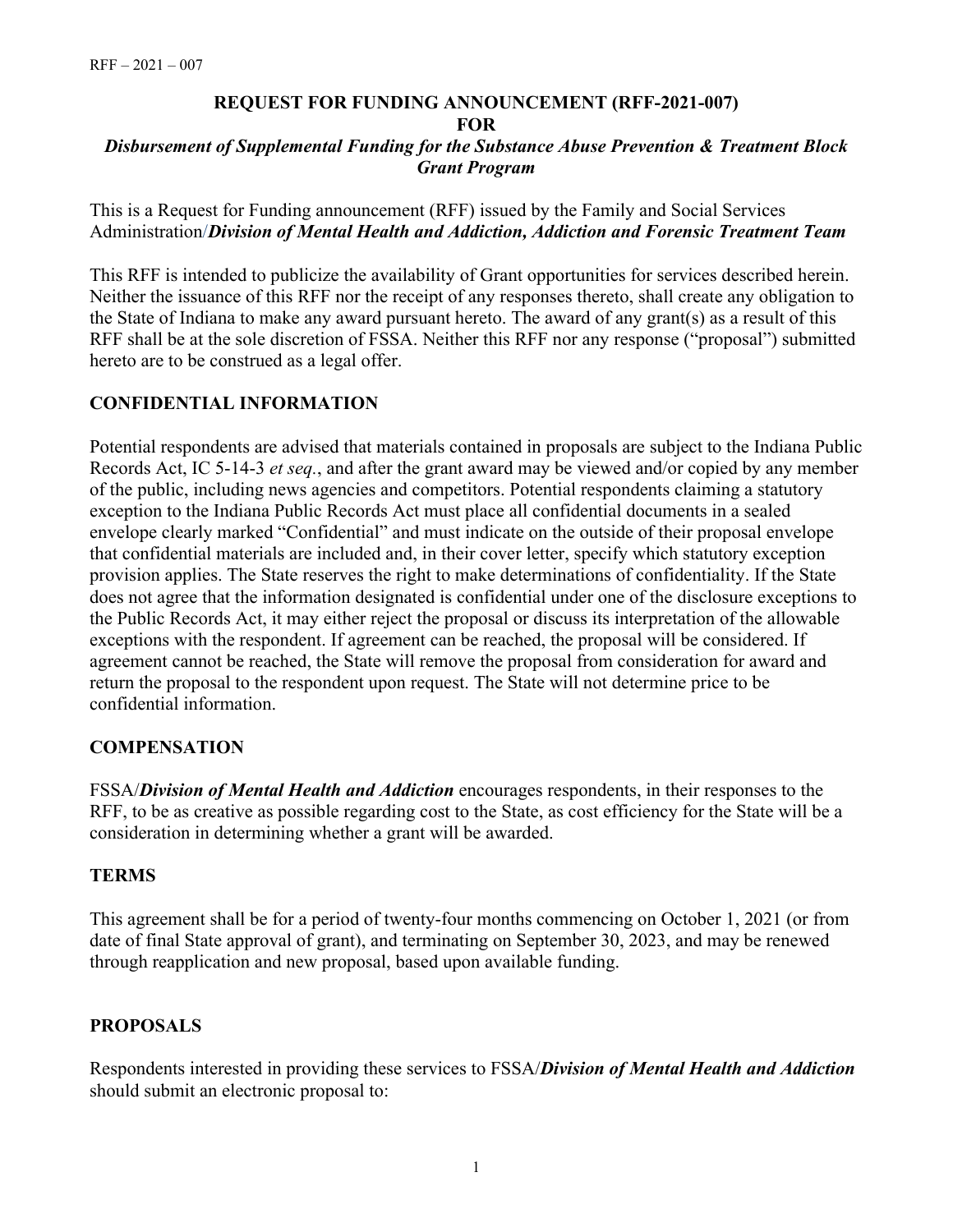#### **REQUEST FOR FUNDING ANNOUNCEMENT (RFF-2021-007) FOR** *Disbursement of Supplemental Funding for the Substance Abuse Prevention & Treatment Block Grant Program*

This is a Request for Funding announcement (RFF) issued by the Family and Social Services Administration/*Division of Mental Health and Addiction, Addiction and Forensic Treatment Team*

This RFF is intended to publicize the availability of Grant opportunities for services described herein. Neither the issuance of this RFF nor the receipt of any responses thereto, shall create any obligation to the State of Indiana to make any award pursuant hereto. The award of any grant(s) as a result of this RFF shall be at the sole discretion of FSSA. Neither this RFF nor any response ("proposal") submitted hereto are to be construed as a legal offer.

# **CONFIDENTIAL INFORMATION**

Potential respondents are advised that materials contained in proposals are subject to the Indiana Public Records Act, IC 5-14-3 *et seq.*, and after the grant award may be viewed and/or copied by any member of the public, including news agencies and competitors. Potential respondents claiming a statutory exception to the Indiana Public Records Act must place all confidential documents in a sealed envelope clearly marked "Confidential" and must indicate on the outside of their proposal envelope that confidential materials are included and, in their cover letter, specify which statutory exception provision applies. The State reserves the right to make determinations of confidentiality. If the State does not agree that the information designated is confidential under one of the disclosure exceptions to the Public Records Act, it may either reject the proposal or discuss its interpretation of the allowable exceptions with the respondent. If agreement can be reached, the proposal will be considered. If agreement cannot be reached, the State will remove the proposal from consideration for award and return the proposal to the respondent upon request. The State will not determine price to be confidential information.

### **COMPENSATION**

FSSA/*Division of Mental Health and Addiction* encourages respondents, in their responses to the RFF, to be as creative as possible regarding cost to the State, as cost efficiency for the State will be a consideration in determining whether a grant will be awarded.

### **TERMS**

This agreement shall be for a period of twenty-four months commencing on October 1, 2021 (or from date of final State approval of grant), and terminating on September 30, 2023, and may be renewed through reapplication and new proposal, based upon available funding.

# **PROPOSALS**

Respondents interested in providing these services to FSSA/*Division of Mental Health and Addiction* should submit an electronic proposal to: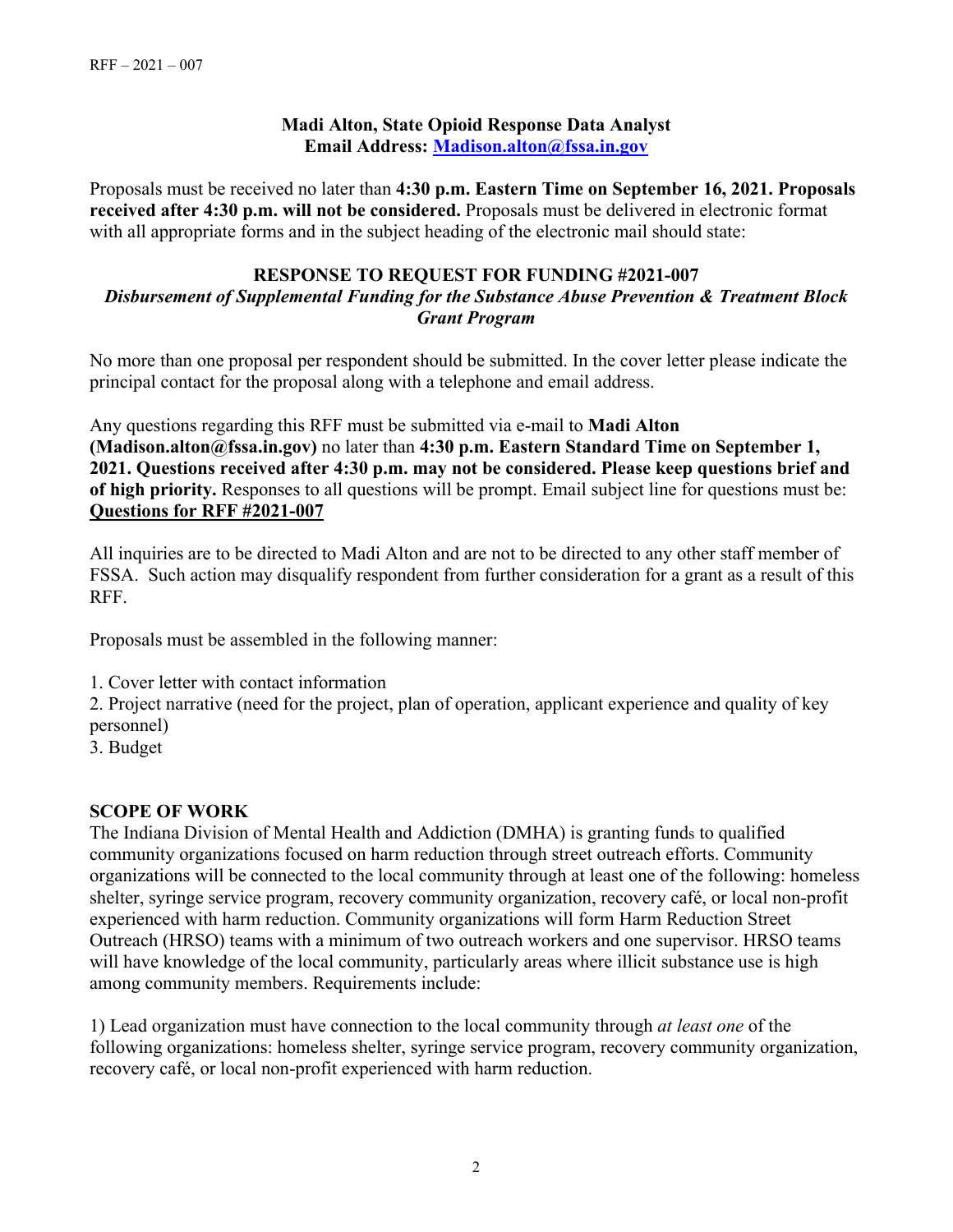## **Madi Alton, State Opioid Response Data Analyst Email Address: [Madison.alton@fssa.in.gov](mailto:Madison.alton@fssa.in.gov)**

Proposals must be received no later than **4:30 p.m. Eastern Time on September 16, 2021. Proposals received after 4:30 p.m. will not be considered.** Proposals must be delivered in electronic format with all appropriate forms and in the subject heading of the electronic mail should state:

### **RESPONSE TO REQUEST FOR FUNDING #2021-007**  *Disbursement of Supplemental Funding for the Substance Abuse Prevention & Treatment Block Grant Program*

No more than one proposal per respondent should be submitted. In the cover letter please indicate the principal contact for the proposal along with a telephone and email address.

Any questions regarding this RFF must be submitted via e-mail to **Madi Alton (Madison.alton@fssa.in.gov)** no later than **4:30 p.m. Eastern Standard Time on September 1, 2021. Questions received after 4:30 p.m. may not be considered. Please keep questions brief and of high priority.** Responses to all questions will be prompt. Email subject line for questions must be: **Questions for RFF #2021-007**

All inquiries are to be directed to Madi Alton and are not to be directed to any other staff member of FSSA. Such action may disqualify respondent from further consideration for a grant as a result of this RFF.

Proposals must be assembled in the following manner:

1. Cover letter with contact information

2. Project narrative (need for the project, plan of operation, applicant experience and quality of key personnel)

3. Budget

# **SCOPE OF WORK**

The Indiana Division of Mental Health and Addiction (DMHA) is granting funds to qualified community organizations focused on harm reduction through street outreach efforts. Community organizations will be connected to the local community through at least one of the following: homeless shelter, syringe service program, recovery community organization, recovery café, or local non-profit experienced with harm reduction. Community organizations will form Harm Reduction Street Outreach (HRSO) teams with a minimum of two outreach workers and one supervisor. HRSO teams will have knowledge of the local community, particularly areas where illicit substance use is high among community members. Requirements include:

1) Lead organization must have connection to the local community through *at least one* of the following organizations: homeless shelter, syringe service program, recovery community organization, recovery café, or local non-profit experienced with harm reduction.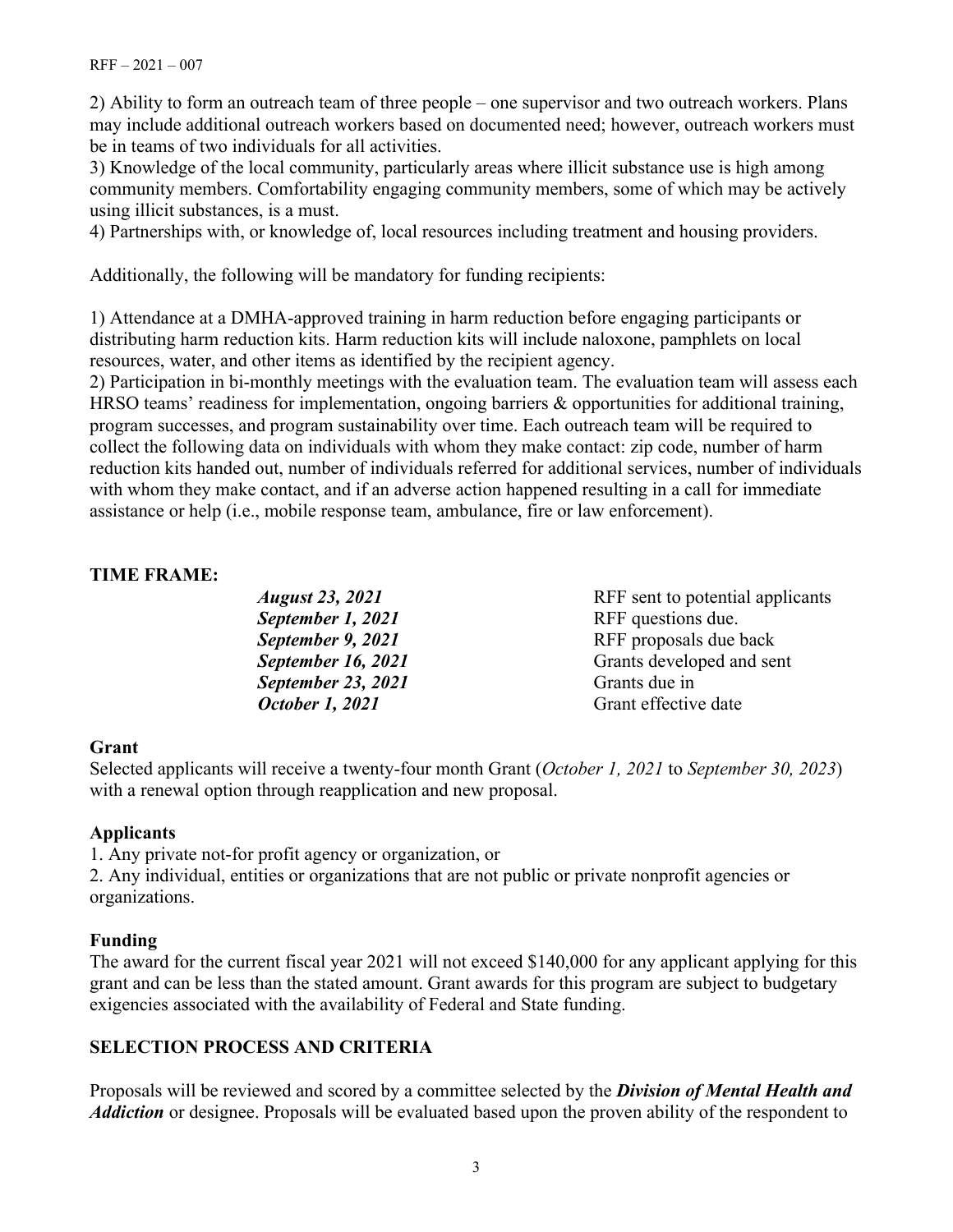2) Ability to form an outreach team of three people – one supervisor and two outreach workers. Plans may include additional outreach workers based on documented need; however, outreach workers must be in teams of two individuals for all activities.

3) Knowledge of the local community, particularly areas where illicit substance use is high among community members. Comfortability engaging community members, some of which may be actively using illicit substances, is a must.

4) Partnerships with, or knowledge of, local resources including treatment and housing providers.

Additionally, the following will be mandatory for funding recipients:

1) Attendance at a DMHA-approved training in harm reduction before engaging participants or distributing harm reduction kits. Harm reduction kits will include naloxone, pamphlets on local resources, water, and other items as identified by the recipient agency.

2) Participation in bi-monthly meetings with the evaluation team. The evaluation team will assess each HRSO teams' readiness for implementation, ongoing barriers  $\&$  opportunities for additional training, program successes, and program sustainability over time. Each outreach team will be required to collect the following data on individuals with whom they make contact: zip code, number of harm reduction kits handed out, number of individuals referred for additional services, number of individuals with whom they make contact, and if an adverse action happened resulting in a call for immediate assistance or help (i.e., mobile response team, ambulance, fire or law enforcement).

## **TIME FRAME:**

| <b>August 23, 2021</b> | RFF sent to potential applicants |
|------------------------|----------------------------------|
| September 1, 2021      | RFF questions due.               |
| September 9, 2021      | RFF proposals due back           |
| September 16, 2021     | Grants developed and sent        |
| September 23, 2021     | Grants due in                    |
| October 1, 2021        | Grant effective date             |
|                        |                                  |

### **Grant**

Selected applicants will receive a twenty-four month Grant (*October 1, 2021* to *September 30, 2023*) with a renewal option through reapplication and new proposal.

### **Applicants**

1. Any private not-for profit agency or organization, or

2. Any individual, entities or organizations that are not public or private nonprofit agencies or organizations.

### **Funding**

The award for the current fiscal year 2021 will not exceed \$140,000 for any applicant applying for this grant and can be less than the stated amount. Grant awards for this program are subject to budgetary exigencies associated with the availability of Federal and State funding.

# **SELECTION PROCESS AND CRITERIA**

Proposals will be reviewed and scored by a committee selected by the *Division of Mental Health and Addiction* or designee. Proposals will be evaluated based upon the proven ability of the respondent to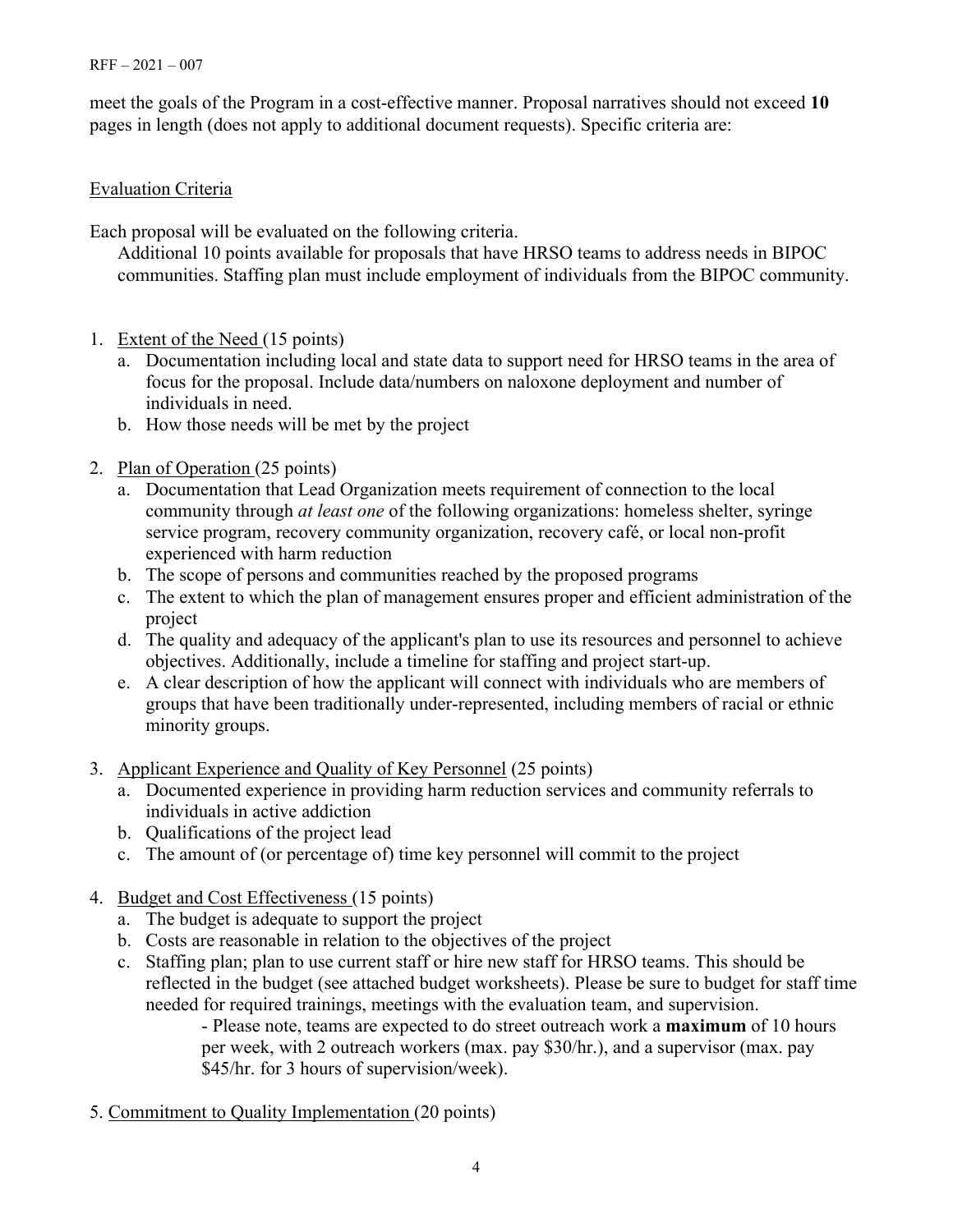#### $RFF - 2021 - 007$

meet the goals of the Program in a cost-effective manner. Proposal narratives should not exceed **10** pages in length (does not apply to additional document requests). Specific criteria are:

# Evaluation Criteria

Each proposal will be evaluated on the following criteria.

Additional 10 points available for proposals that have HRSO teams to address needs in BIPOC communities. Staffing plan must include employment of individuals from the BIPOC community.

- 1. Extent of the Need (15 points)
	- a. Documentation including local and state data to support need for HRSO teams in the area of focus for the proposal. Include data/numbers on naloxone deployment and number of individuals in need.
	- b. How those needs will be met by the project
- 2. Plan of Operation (25 points)
	- a. Documentation that Lead Organization meets requirement of connection to the local community through *at least one* of the following organizations: homeless shelter, syringe service program, recovery community organization, recovery café, or local non-profit experienced with harm reduction
	- b. The scope of persons and communities reached by the proposed programs
	- c. The extent to which the plan of management ensures proper and efficient administration of the project
	- d. The quality and adequacy of the applicant's plan to use its resources and personnel to achieve objectives. Additionally, include a timeline for staffing and project start-up.
	- e. A clear description of how the applicant will connect with individuals who are members of groups that have been traditionally under-represented, including members of racial or ethnic minority groups.
- 3. Applicant Experience and Quality of Key Personnel (25 points)
	- a. Documented experience in providing harm reduction services and community referrals to individuals in active addiction
	- b. Qualifications of the project lead
	- c. The amount of (or percentage of) time key personnel will commit to the project
- 4. Budget and Cost Effectiveness (15 points)
	- a. The budget is adequate to support the project
	- b. Costs are reasonable in relation to the objectives of the project
	- c. Staffing plan; plan to use current staff or hire new staff for HRSO teams. This should be reflected in the budget (see attached budget worksheets). Please be sure to budget for staff time needed for required trainings, meetings with the evaluation team, and supervision.

- Please note, teams are expected to do street outreach work a **maximum** of 10 hours per week, with 2 outreach workers (max. pay \$30/hr.), and a supervisor (max. pay \$45/hr. for 3 hours of supervision/week).

5. Commitment to Quality Implementation (20 points)